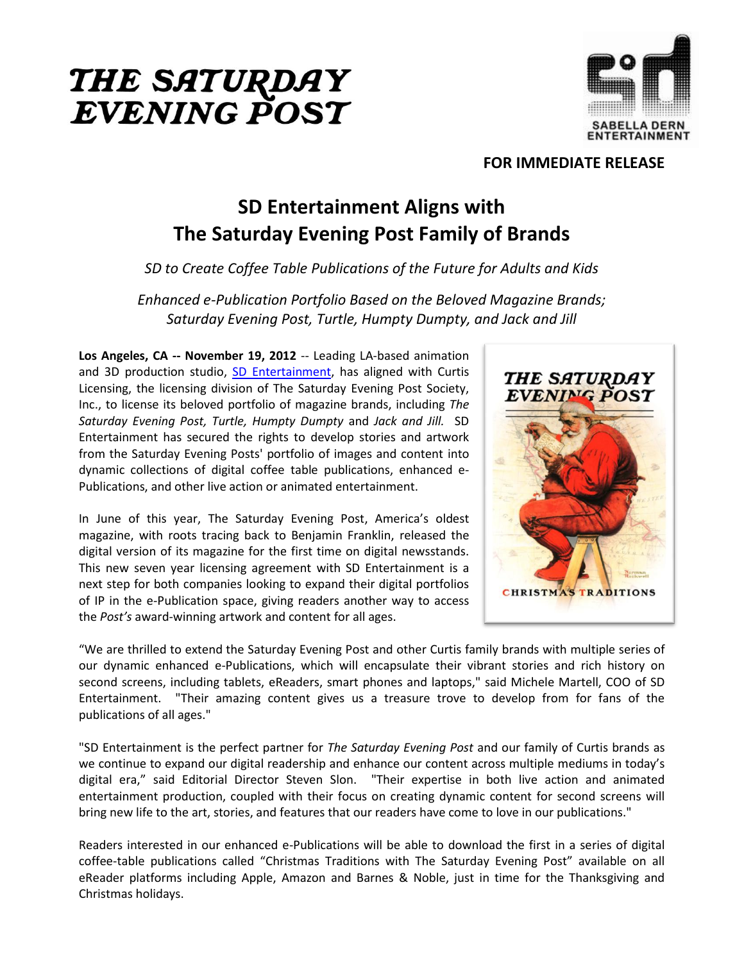



## **FOR IMMEDIATE RELEASE**

## **SD Entertainment Aligns with The Saturday Evening Post Family of Brands**

*SD to Create Coffee Table Publications of the Future for Adults and Kids*

*Enhanced e-Publication Portfolio Based on the Beloved Magazine Brands; Saturday Evening Post, Turtle, Humpty Dumpty, and Jack and Jill* 

**Los Angeles, CA -- November 19, 2012** -- Leading LA-based animation and 3D production studio, [SD Entertainment,](http://www.sdentertainment.com/) has aligned with Curtis Licensing, the licensing division of The Saturday Evening Post Society, Inc., to license its beloved portfolio of magazine brands, including *The Saturday Evening Post, Turtle, Humpty Dumpty* and *Jack and Jill.* SD Entertainment has secured the rights to develop stories and artwork from the Saturday Evening Posts' portfolio of images and content into dynamic collections of digital coffee table publications, enhanced e-Publications, and other live action or animated entertainment.

In June of this year, The Saturday Evening Post, America's oldest magazine, with roots tracing back to Benjamin Franklin, released the digital version of its magazine for the first time on digital newsstands. This new seven year licensing agreement with SD Entertainment is a next step for both companies looking to expand their digital portfolios of IP in the e-Publication space, giving readers another way to access the *Post's* award-winning artwork and content for all ages.



"We are thrilled to extend the Saturday Evening Post and other Curtis family brands with multiple series of our dynamic enhanced e-Publications, which will encapsulate their vibrant stories and rich history on second screens, including tablets, eReaders, smart phones and laptops," said Michele Martell, COO of SD Entertainment. "Their amazing content gives us a treasure trove to develop from for fans of the publications of all ages."

"SD Entertainment is the perfect partner for *The Saturday Evening Post* and our family of Curtis brands as we continue to expand our digital readership and enhance our content across multiple mediums in today's digital era," said Editorial Director Steven Slon. "Their expertise in both live action and animated entertainment production, coupled with their focus on creating dynamic content for second screens will bring new life to the art, stories, and features that our readers have come to love in our publications."

Readers interested in our enhanced e-Publications will be able to download the first in a series of digital coffee-table publications called "Christmas Traditions with The Saturday Evening Post" available on all eReader platforms including Apple, Amazon and Barnes & Noble, just in time for the Thanksgiving and Christmas holidays.